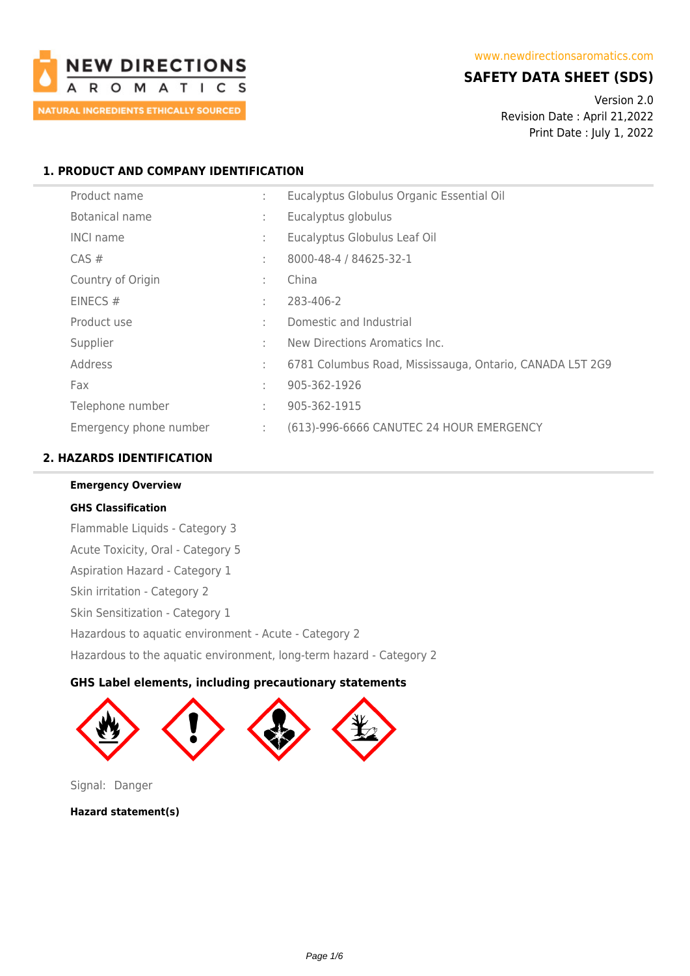

# **SAFETY DATA SHEET (SDS)**

Version 2.0 Revision Date : April 21,2022 Print Date : July 1, 2022

# **1. PRODUCT AND COMPANY IDENTIFICATION**

| Product name           | ÷      | Eucalyptus Globulus Organic Essential Oil                |
|------------------------|--------|----------------------------------------------------------|
| <b>Botanical name</b>  | ÷      | Eucalyptus globulus                                      |
| <b>INCI name</b>       | ÷      | Eucalyptus Globulus Leaf Oil                             |
| $CAS \#$               | ÷      | 8000-48-4 / 84625-32-1                                   |
| Country of Origin      | ÷      | China                                                    |
| EINECS#                | ÷      | 283-406-2                                                |
| Product use            | $\sim$ | Domestic and Industrial                                  |
| Supplier               | ÷      | New Directions Aromatics Inc.                            |
| Address                | ÷      | 6781 Columbus Road, Mississauga, Ontario, CANADA L5T 2G9 |
| Fax                    | ÷      | 905-362-1926                                             |
| Telephone number       | ÷      | 905-362-1915                                             |
| Emergency phone number | ÷      | (613)-996-6666 CANUTEC 24 HOUR EMERGENCY                 |

# **2. HAZARDS IDENTIFICATION**

**Emergency Overview**

**GHS Classification** Flammable Liquids - Category 3 Acute Toxicity, Oral - Category 5 Aspiration Hazard - Category 1 Skin irritation - Category 2 Skin Sensitization - Category 1 Hazardous to aquatic environment - Acute - Category 2 Hazardous to the aquatic environment, long-term hazard - Category 2

# **GHS Label elements, including precautionary statements**



Signal: Danger

**Hazard statement(s)**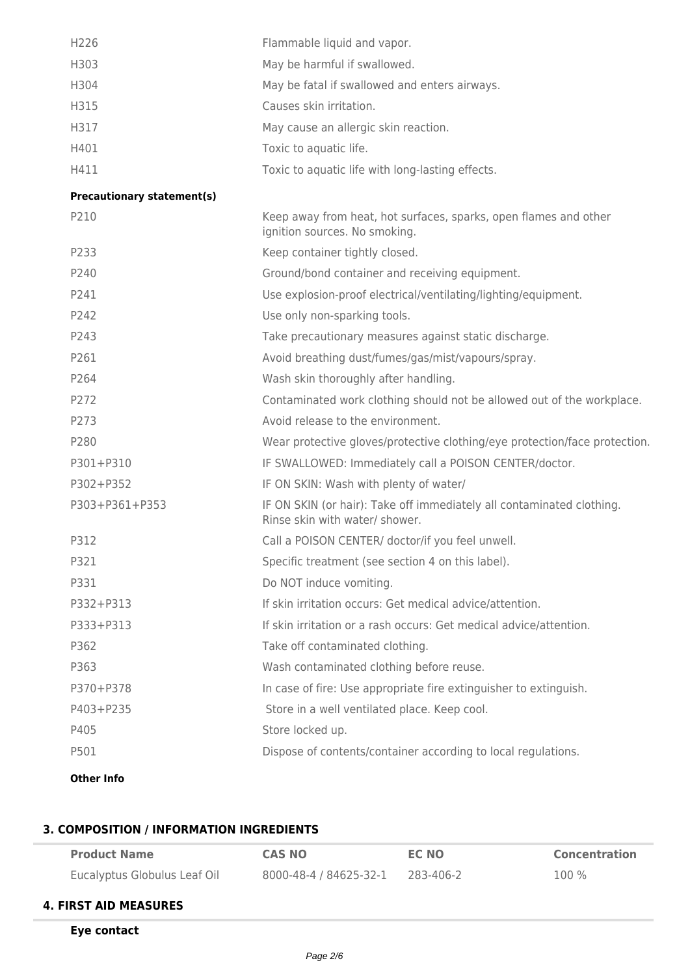| H <sub>226</sub> | Flammable liquid and vapor.                      |
|------------------|--------------------------------------------------|
| H303             | May be harmful if swallowed.                     |
| H304             | May be fatal if swallowed and enters airways.    |
| H315             | Causes skin irritation.                          |
| H317             | May cause an allergic skin reaction.             |
| H401             | Toxic to aquatic life.                           |
| H411             | Toxic to aquatic life with long-lasting effects. |
|                  |                                                  |

#### **Precautionary statement(s)**

| P210           | Keep away from heat, hot surfaces, sparks, open flames and other<br>ignition sources. No smoking.       |
|----------------|---------------------------------------------------------------------------------------------------------|
| P233           | Keep container tightly closed.                                                                          |
| P240           | Ground/bond container and receiving equipment.                                                          |
| P241           | Use explosion-proof electrical/ventilating/lighting/equipment.                                          |
| P242           | Use only non-sparking tools.                                                                            |
| P243           | Take precautionary measures against static discharge.                                                   |
| P261           | Avoid breathing dust/fumes/gas/mist/vapours/spray.                                                      |
| P264           | Wash skin thoroughly after handling.                                                                    |
| P272           | Contaminated work clothing should not be allowed out of the workplace.                                  |
| P273           | Avoid release to the environment.                                                                       |
| P280           | Wear protective gloves/protective clothing/eye protection/face protection.                              |
| P301+P310      | IF SWALLOWED: Immediately call a POISON CENTER/doctor.                                                  |
| P302+P352      | IF ON SKIN: Wash with plenty of water/                                                                  |
| P303+P361+P353 | IF ON SKIN (or hair): Take off immediately all contaminated clothing.<br>Rinse skin with water/ shower. |
| P312           | Call a POISON CENTER/ doctor/if you feel unwell.                                                        |
| P321           | Specific treatment (see section 4 on this label).                                                       |
| P331           | Do NOT induce vomiting.                                                                                 |
| P332+P313      | If skin irritation occurs: Get medical advice/attention.                                                |
| P333+P313      | If skin irritation or a rash occurs: Get medical advice/attention.                                      |
| P362           | Take off contaminated clothing.                                                                         |
| P363           | Wash contaminated clothing before reuse.                                                                |
| P370+P378      | In case of fire: Use appropriate fire extinguisher to extinguish.                                       |
| P403+P235      | Store in a well ventilated place. Keep cool.                                                            |
| P405           | Store locked up.                                                                                        |
| P501           | Dispose of contents/container according to local regulations.                                           |
|                |                                                                                                         |

# **Other Info**

# **3. COMPOSITION / INFORMATION INGREDIENTS**

| <b>Product Name</b>          | <b>CAS NO</b>          | EC NO     | <b>Concentration</b> |
|------------------------------|------------------------|-----------|----------------------|
| Eucalyptus Globulus Leaf Oil | 8000-48-4 / 84625-32-1 | 283-406-2 | $100\%$              |
| <b>4. FIRST AID MEASURES</b> |                        |           |                      |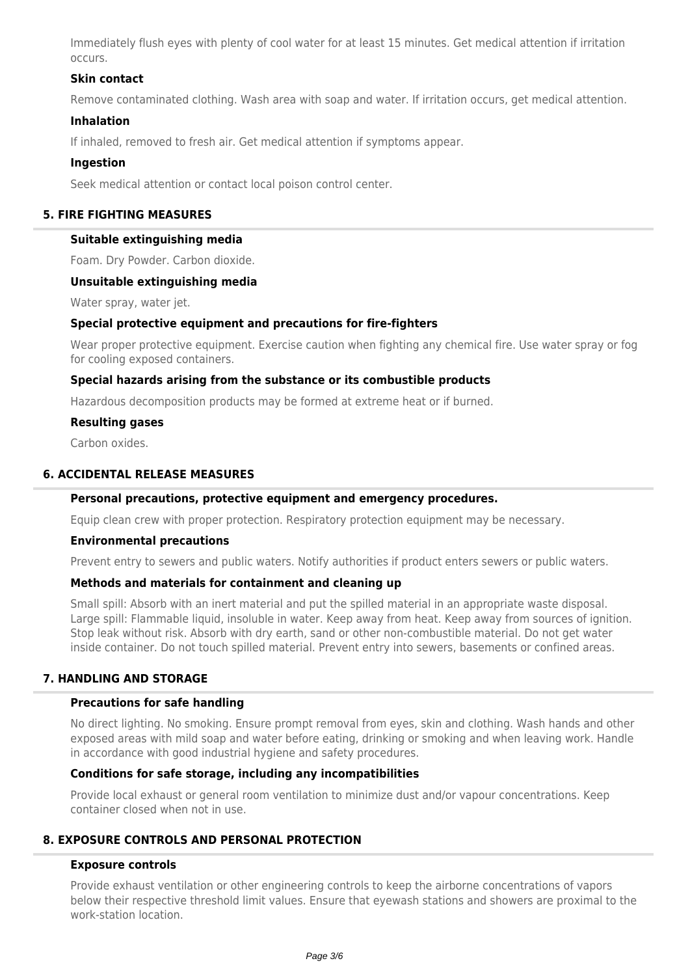Immediately flush eyes with plenty of cool water for at least 15 minutes. Get medical attention if irritation occurs.

## **Skin contact**

Remove contaminated clothing. Wash area with soap and water. If irritation occurs, get medical attention.

#### **Inhalation**

If inhaled, removed to fresh air. Get medical attention if symptoms appear.

#### **Ingestion**

Seek medical attention or contact local poison control center.

#### **5. FIRE FIGHTING MEASURES**

#### **Suitable extinguishing media**

Foam. Dry Powder. Carbon dioxide.

#### **Unsuitable extinguishing media**

Water spray, water jet.

## **Special protective equipment and precautions for fire-fighters**

Wear proper protective equipment. Exercise caution when fighting any chemical fire. Use water spray or fog for cooling exposed containers.

#### **Special hazards arising from the substance or its combustible products**

Hazardous decomposition products may be formed at extreme heat or if burned.

#### **Resulting gases**

Carbon oxides.

## **6. ACCIDENTAL RELEASE MEASURES**

#### **Personal precautions, protective equipment and emergency procedures.**

Equip clean crew with proper protection. Respiratory protection equipment may be necessary.

#### **Environmental precautions**

Prevent entry to sewers and public waters. Notify authorities if product enters sewers or public waters.

#### **Methods and materials for containment and cleaning up**

Small spill: Absorb with an inert material and put the spilled material in an appropriate waste disposal. Large spill: Flammable liquid, insoluble in water. Keep away from heat. Keep away from sources of ignition. Stop leak without risk. Absorb with dry earth, sand or other non-combustible material. Do not get water inside container. Do not touch spilled material. Prevent entry into sewers, basements or confined areas.

# **7. HANDLING AND STORAGE**

#### **Precautions for safe handling**

No direct lighting. No smoking. Ensure prompt removal from eyes, skin and clothing. Wash hands and other exposed areas with mild soap and water before eating, drinking or smoking and when leaving work. Handle in accordance with good industrial hygiene and safety procedures.

#### **Conditions for safe storage, including any incompatibilities**

Provide local exhaust or general room ventilation to minimize dust and/or vapour concentrations. Keep container closed when not in use.

## **8. EXPOSURE CONTROLS AND PERSONAL PROTECTION**

#### **Exposure controls**

Provide exhaust ventilation or other engineering controls to keep the airborne concentrations of vapors below their respective threshold limit values. Ensure that eyewash stations and showers are proximal to the work-station location.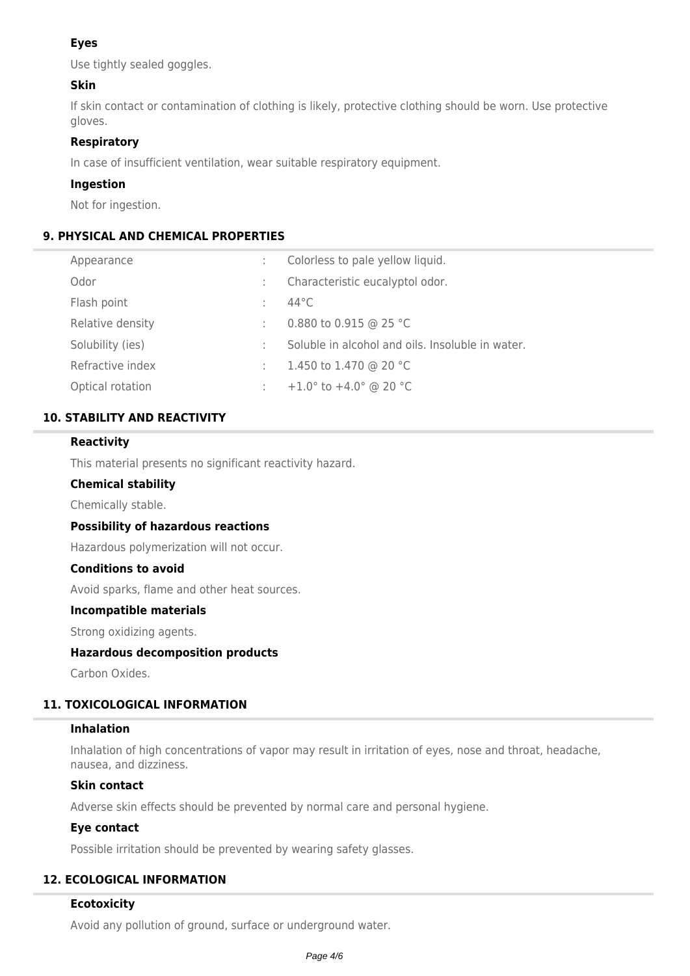# **Eyes**

Use tightly sealed goggles.

# **Skin**

If skin contact or contamination of clothing is likely, protective clothing should be worn. Use protective gloves.

## **Respiratory**

In case of insufficient ventilation, wear suitable respiratory equipment.

## **Ingestion**

Not for ingestion.

# **9. PHYSICAL AND CHEMICAL PROPERTIES**

| Appearance       | Colorless to pale yellow liquid.                  |
|------------------|---------------------------------------------------|
| Odor             | Characteristic eucalyptol odor.                   |
| Flash point      | 44°C                                              |
| Relative density | 0.880 to 0.915 @ 25 °C                            |
| Solubility (ies) | Soluble in alcohol and oils. Insoluble in water.  |
| Refractive index | 1.450 to 1.470 @ 20 °C                            |
| Optical rotation | +1.0 $\degree$ to +4.0 $\degree$ @ 20 $\degree$ C |
|                  |                                                   |

# **10. STABILITY AND REACTIVITY**

## **Reactivity**

This material presents no significant reactivity hazard.

## **Chemical stability**

Chemically stable.

## **Possibility of hazardous reactions**

Hazardous polymerization will not occur.

## **Conditions to avoid**

Avoid sparks, flame and other heat sources.

## **Incompatible materials**

Strong oxidizing agents.

## **Hazardous decomposition products**

Carbon Oxides.

# **11. TOXICOLOGICAL INFORMATION**

## **Inhalation**

Inhalation of high concentrations of vapor may result in irritation of eyes, nose and throat, headache, nausea, and dizziness.

## **Skin contact**

Adverse skin effects should be prevented by normal care and personal hygiene.

## **Eye contact**

Possible irritation should be prevented by wearing safety glasses.

# **12. ECOLOGICAL INFORMATION**

## **Ecotoxicity**

Avoid any pollution of ground, surface or underground water.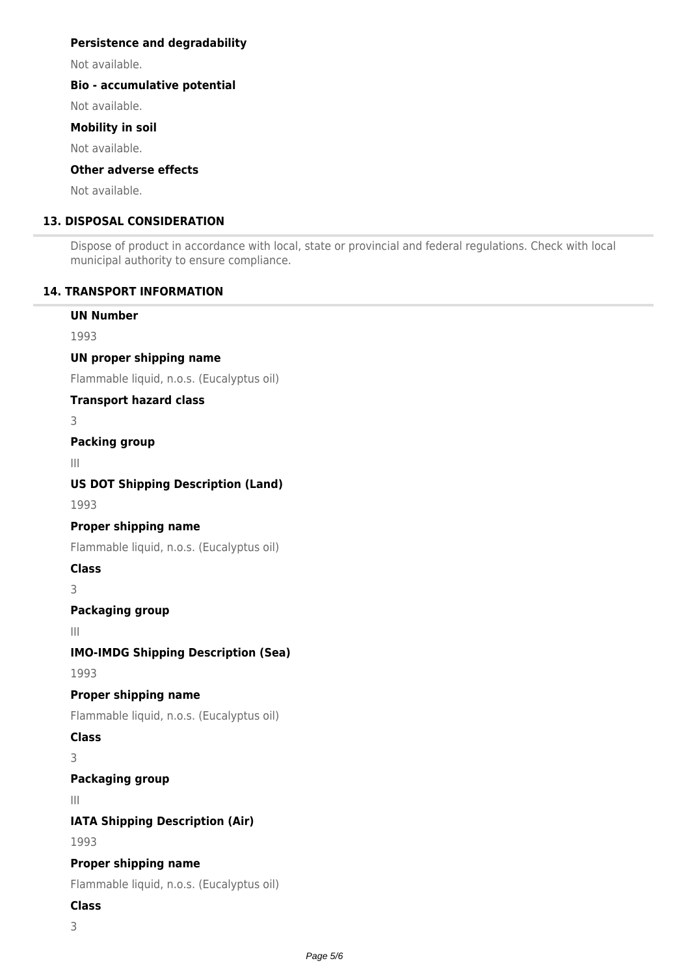## **Persistence and degradability**

Not available.

## **Bio - accumulative potential**

Not available.

## **Mobility in soil**

Not available.

# **Other adverse effects**

Not available.

# **13. DISPOSAL CONSIDERATION**

Dispose of product in accordance with local, state or provincial and federal regulations. Check with local municipal authority to ensure compliance.

# **14. TRANSPORT INFORMATION**

# **UN Number** 1993 **UN proper shipping name** Flammable liquid, n.o.s. (Eucalyptus oil) **Transport hazard class** 3 **Packing group** III **US DOT Shipping Description (Land)** 1993 **Proper shipping name** Flammable liquid, n.o.s. (Eucalyptus oil) **Class** 3 **Packaging group** III

**IMO-IMDG Shipping Description (Sea)**

1993

# **Proper shipping name**

Flammable liquid, n.o.s. (Eucalyptus oil)

# **Class**

3

# **Packaging group**

III

**IATA Shipping Description (Air)**

1993

# **Proper shipping name**

Flammable liquid, n.o.s. (Eucalyptus oil)

# **Class**

3